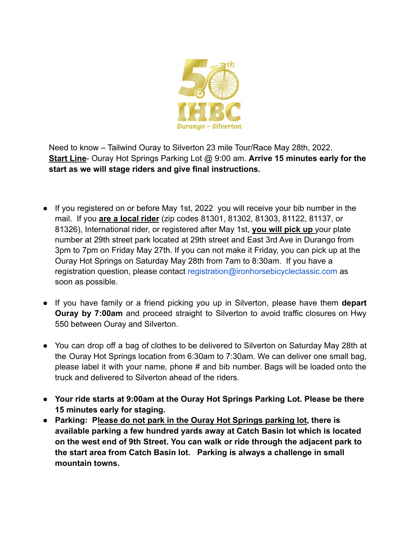

Need to know – Tailwind Ouray to Silverton 23 mile Tour/Race May 28th, 2022. **Start Line**- Ouray Hot Springs Parking Lot @ 9:00 am. **Arrive 15 minutes early for the start as we will stage riders and give final instructions.**

- If you registered on or before May 1st, 2022 you will receive your bib number in the mail. If you **are a local rider** (zip codes 81301, 81302, 81303, 81122, 81137, or 81326), International rider, or registered after May 1st, **you will pick up** your plate number at 29th street park located at 29th street and East 3rd Ave in Durango from 3pm to 7pm on Friday May 27th. If you can not make it Friday, you can pick up at the Ouray Hot Springs on Saturday May 28th from 7am to 8:30am. If you have a registration question, please contact registration@ironhorsebicycleclassic.com as soon as possible.
- If you have family or a friend picking you up in Silverton, please have them **depart Ouray by 7:00am** and proceed straight to Silverton to avoid traffic closures on Hwy 550 between Ouray and Silverton.
- You can drop off a bag of clothes to be delivered to Silverton on Saturday May 28th at the Ouray Hot Springs location from 6:30am to 7:30am. We can deliver one small bag, please label it with your name, phone # and bib number. Bags will be loaded onto the truck and delivered to Silverton ahead of the riders.
- **● Your ride starts at 9:00am at the Ouray Hot Springs Parking Lot. Please be there 15 minutes early for staging.**
- **● Parking: Please do not park in the Ouray Hot Springs parking lot, there is available parking a few hundred yards away at Catch Basin lot which is located on the west end of 9th Street. You can walk or ride through the adjacent park to the start area from Catch Basin lot. Parking is always a challenge in small mountain towns.**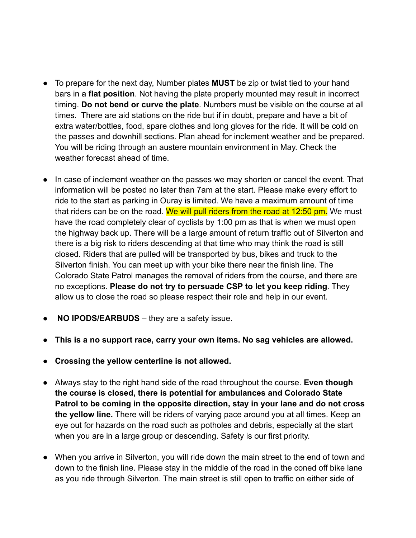- To prepare for the next day, Number plates **MUST** be zip or twist tied to your hand bars in a **flat position**. Not having the plate properly mounted may result in incorrect timing. **Do not bend or curve the plate**. Numbers must be visible on the course at all times. There are aid stations on the ride but if in doubt, prepare and have a bit of extra water/bottles, food, spare clothes and long gloves for the ride. It will be cold on the passes and downhill sections. Plan ahead for inclement weather and be prepared. You will be riding through an austere mountain environment in May. Check the weather forecast ahead of time.
- In case of inclement weather on the passes we may shorten or cancel the event. That information will be posted no later than 7am at the start. Please make every effort to ride to the start as parking in Ouray is limited. We have a maximum amount of time that riders can be on the road. We will pull riders from the road at 12:50 pm**.** We must have the road completely clear of cyclists by 1:00 pm as that is when we must open the highway back up. There will be a large amount of return traffic out of Silverton and there is a big risk to riders descending at that time who may think the road is still closed. Riders that are pulled will be transported by bus, bikes and truck to the Silverton finish. You can meet up with your bike there near the finish line. The Colorado State Patrol manages the removal of riders from the course, and there are no exceptions. **Please do not try to persuade CSP to let you keep riding**. They allow us to close the road so please respect their role and help in our event.
- **NO IPODS/EARBUDS** they are a safety issue.
- **● This is a no support race, carry your own items. No sag vehicles are allowed.**
- **● Crossing the yellow centerline is not allowed.**
- Always stay to the right hand side of the road throughout the course. **Even though the course is closed, there is potential for ambulances and Colorado State Patrol to be coming in the opposite direction, stay in your lane and do not cross the yellow line.** There will be riders of varying pace around you at all times. Keep an eye out for hazards on the road such as potholes and debris, especially at the start when you are in a large group or descending. Safety is our first priority.
- When you arrive in Silverton, you will ride down the main street to the end of town and down to the finish line. Please stay in the middle of the road in the coned off bike lane as you ride through Silverton. The main street is still open to traffic on either side of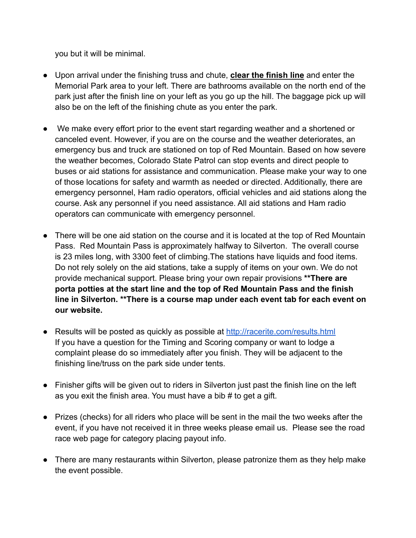you but it will be minimal.

- Upon arrival under the finishing truss and chute, **clear the finish line** and enter the Memorial Park area to your left. There are bathrooms available on the north end of the park just after the finish line on your left as you go up the hill. The baggage pick up will also be on the left of the finishing chute as you enter the park.
- We make every effort prior to the event start regarding weather and a shortened or canceled event. However, if you are on the course and the weather deteriorates, an emergency bus and truck are stationed on top of Red Mountain. Based on how severe the weather becomes, Colorado State Patrol can stop events and direct people to buses or aid stations for assistance and communication. Please make your way to one of those locations for safety and warmth as needed or directed. Additionally, there are emergency personnel, Ham radio operators, official vehicles and aid stations along the course. Ask any personnel if you need assistance. All aid stations and Ham radio operators can communicate with emergency personnel.
- There will be one aid station on the course and it is located at the top of Red Mountain Pass. Red Mountain Pass is approximately halfway to Silverton. The overall course is 23 miles long, with 3300 feet of climbing.The stations have liquids and food items. Do not rely solely on the aid stations, take a supply of items on your own. We do not provide mechanical support. Please bring your own repair provisions **\*\*There are porta potties at the start line and the top of Red Mountain Pass and the finish line in Silverton. \*\*There is a course map under each event tab for each event on our website.**
- Results will be posted as quickly as possible at http://racerite.com/results.html If you have a question for the Timing and Scoring company or want to lodge a complaint please do so immediately after you finish. They will be adjacent to the finishing line/truss on the park side under tents.
- Finisher gifts will be given out to riders in Silverton just past the finish line on the left as you exit the finish area. You must have a bib # to get a gift.
- Prizes (checks) for all riders who place will be sent in the mail the two weeks after the event, if you have not received it in three weeks please email us. Please see the road race web page for category placing payout info.
- There are many restaurants within Silverton, please patronize them as they help make the event possible.